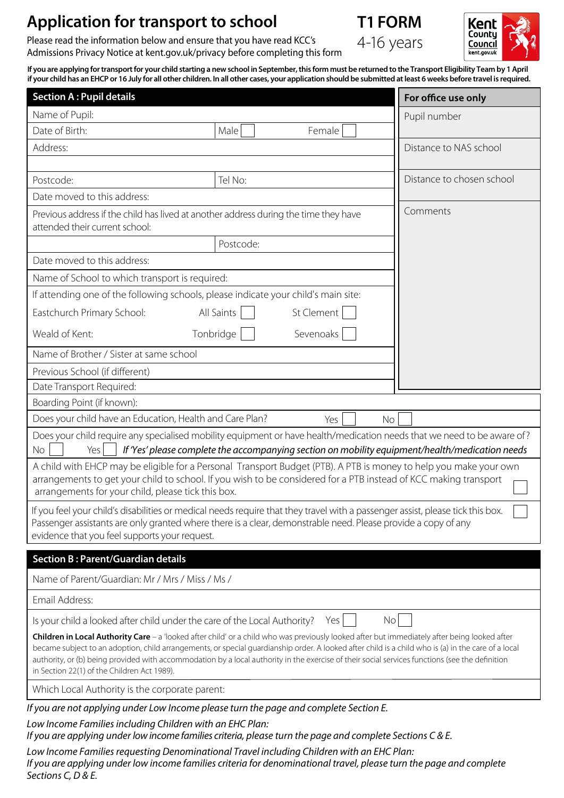# **Application for transport to school T1 FORM**

Please read the information below and ensure that you have read KCC's Admissions Privacy Notice at kent.gov.uk/privacy before completing this form



Kent Counti Council kent.gov.uk

**If you are applying for transport for your child starting a new school in September, this form must be returned to the Transport Eligibility Team by 1 April if your child has an EHCP or 16 July for all other children. In all other cases, your application should be submitted at least 6 weeks before travel is required.**

| <b>Section A: Pupil details</b>                                                                                                                                                                                                                                                                                                                                                                                                                                                                        |                          | For office use only       |  |  |  |
|--------------------------------------------------------------------------------------------------------------------------------------------------------------------------------------------------------------------------------------------------------------------------------------------------------------------------------------------------------------------------------------------------------------------------------------------------------------------------------------------------------|--------------------------|---------------------------|--|--|--|
| Name of Pupil:                                                                                                                                                                                                                                                                                                                                                                                                                                                                                         |                          | Pupil number              |  |  |  |
| Date of Birth:                                                                                                                                                                                                                                                                                                                                                                                                                                                                                         | Female<br>Male           |                           |  |  |  |
| Address:                                                                                                                                                                                                                                                                                                                                                                                                                                                                                               |                          | Distance to NAS school    |  |  |  |
|                                                                                                                                                                                                                                                                                                                                                                                                                                                                                                        |                          |                           |  |  |  |
| Postcode:                                                                                                                                                                                                                                                                                                                                                                                                                                                                                              | Tel No:                  | Distance to chosen school |  |  |  |
| Date moved to this address:                                                                                                                                                                                                                                                                                                                                                                                                                                                                            |                          |                           |  |  |  |
| Comments<br>Previous address if the child has lived at another address during the time they have<br>attended their current school:                                                                                                                                                                                                                                                                                                                                                                     |                          |                           |  |  |  |
|                                                                                                                                                                                                                                                                                                                                                                                                                                                                                                        | Postcode:                |                           |  |  |  |
| Date moved to this address:                                                                                                                                                                                                                                                                                                                                                                                                                                                                            |                          |                           |  |  |  |
| Name of School to which transport is required:                                                                                                                                                                                                                                                                                                                                                                                                                                                         |                          |                           |  |  |  |
| If attending one of the following schools, please indicate your child's main site:                                                                                                                                                                                                                                                                                                                                                                                                                     |                          |                           |  |  |  |
| Eastchurch Primary School:                                                                                                                                                                                                                                                                                                                                                                                                                                                                             | St Clement<br>All Saints |                           |  |  |  |
| Weald of Kent:                                                                                                                                                                                                                                                                                                                                                                                                                                                                                         | Tonbridge<br>Sevenoaks   |                           |  |  |  |
| Name of Brother / Sister at same school                                                                                                                                                                                                                                                                                                                                                                                                                                                                |                          |                           |  |  |  |
| Previous School (if different)                                                                                                                                                                                                                                                                                                                                                                                                                                                                         |                          |                           |  |  |  |
| Date Transport Required:                                                                                                                                                                                                                                                                                                                                                                                                                                                                               |                          |                           |  |  |  |
| Boarding Point (if known):                                                                                                                                                                                                                                                                                                                                                                                                                                                                             |                          |                           |  |  |  |
| Does your child have an Education, Health and Care Plan?<br>Yes<br><b>No</b>                                                                                                                                                                                                                                                                                                                                                                                                                           |                          |                           |  |  |  |
| Does your child require any specialised mobility equipment or have health/medication needs that we need to be aware of?<br>If 'Yes' please complete the accompanying section on mobility equipment/health/medication needs<br><b>No</b><br>Yes                                                                                                                                                                                                                                                         |                          |                           |  |  |  |
| A child with EHCP may be eligible for a Personal Transport Budget (PTB). A PTB is money to help you make your own<br>arrangements to get your child to school. If you wish to be considered for a PTB instead of KCC making transport<br>arrangements for your child, please tick this box.                                                                                                                                                                                                            |                          |                           |  |  |  |
| If you feel your child's disabilities or medical needs require that they travel with a passenger assist, please tick this box.<br>Passenger assistants are only granted where there is a clear, demonstrable need. Please provide a copy of any<br>evidence that you feel supports your request.                                                                                                                                                                                                       |                          |                           |  |  |  |
| <b>Section B: Parent/Guardian details</b>                                                                                                                                                                                                                                                                                                                                                                                                                                                              |                          |                           |  |  |  |
| Name of Parent/Guardian: Mr / Mrs / Miss / Ms /                                                                                                                                                                                                                                                                                                                                                                                                                                                        |                          |                           |  |  |  |
| Email Address:                                                                                                                                                                                                                                                                                                                                                                                                                                                                                         |                          |                           |  |  |  |
| Is your child a looked after child under the care of the Local Authority?<br>No<br>Yes                                                                                                                                                                                                                                                                                                                                                                                                                 |                          |                           |  |  |  |
| Children in Local Authority Care - a 'looked after child' or a child who was previously looked after but immediately after being looked after<br>became subject to an adoption, child arrangements, or special guardianship order. A looked after child is a child who is (a) in the care of a local<br>authority, or (b) being provided with accommodation by a local authority in the exercise of their social services functions (see the definition<br>in Section 22(1) of the Children Act 1989). |                          |                           |  |  |  |
| Which Local Authority is the corporate parent:                                                                                                                                                                                                                                                                                                                                                                                                                                                         |                          |                           |  |  |  |
| If you are not applying under Low Income please turn the page and complete Section E.<br>Low Income Families including Children with an EHC Plan:<br>If you are applying under low income families criteria, please turn the page and complete Sections C & E.                                                                                                                                                                                                                                         |                          |                           |  |  |  |

*Low Income Families requesting Denominational Travel including Children with an EHC Plan: If you are applying under low income families criteria for denominational travel, please turn the page and complete Sections C, D & E.*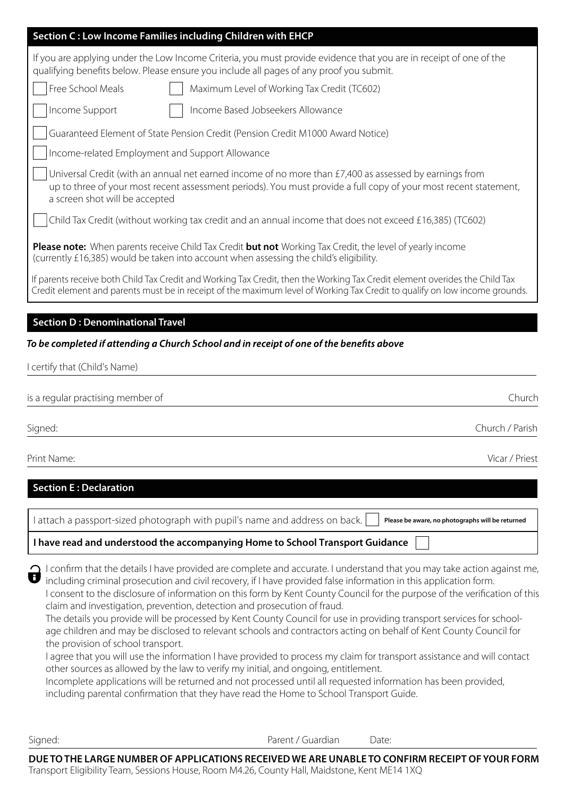| Section C: Low Income Families including Children with EHCP                                                                                                                                                                                                  |  |  |  |  |
|--------------------------------------------------------------------------------------------------------------------------------------------------------------------------------------------------------------------------------------------------------------|--|--|--|--|
| If you are applying under the Low Income Criteria, you must provide evidence that you are in receipt of one of the<br>qualifying benefits below. Please ensure you include all pages of any proof you submit.                                                |  |  |  |  |
| Free School Meals<br>Maximum Level of Working Tax Credit (TC602)                                                                                                                                                                                             |  |  |  |  |
| Income Support<br>Income Based Jobseekers Allowance                                                                                                                                                                                                          |  |  |  |  |
| Guaranteed Element of State Pension Credit (Pension Credit M1000 Award Notice)                                                                                                                                                                               |  |  |  |  |
| Income-related Employment and Support Allowance                                                                                                                                                                                                              |  |  |  |  |
| Universal Credit (with an annual net earned income of no more than £7,400 as assessed by earnings from<br>up to three of your most recent assessment periods). You must provide a full copy of your most recent statement,<br>a screen shot will be accepted |  |  |  |  |
| Child Tax Credit (without working tax credit and an annual income that does not exceed £16,385) (TC602)                                                                                                                                                      |  |  |  |  |
| <b>Please note:</b> When parents receive Child Tax Credit but not Working Tax Credit, the level of yearly income<br>(currently £16,385) would be taken into account when assessing the child's eligibility.                                                  |  |  |  |  |
| If parents receive both Child Tax Credit and Working Tax Credit, then the Working Tax Credit element overides the Child Tax<br>Credit element and parents must be in receipt of the maximum level of Working Tax Credit to qualify on low income grounds.    |  |  |  |  |

### **Section D : Denominational Travel**

## To be completed if attending a Church School and in receipt of one of the benefits above

| I certify that (Child's Name)     |        |
|-----------------------------------|--------|
|                                   |        |
| is a regular practising member of | Church |

Signed: Church / Parish

Print Name: Vicar / Priest

# **Section E : Declaration**

I attach a passport-sized photograph with pupil's name and address on back. **Please be aware, no photographs will be returned**

### **I have read and understood the accompanying Home to School Transport Guidance**

| 1 confirm that the details I have provided are complete and accurate. I understand that you may take action against me,                 |
|-----------------------------------------------------------------------------------------------------------------------------------------|
| $\blacktriangleright$ including criminal prosecution and civil recovery, if I have provided false information in this application form. |
|                                                                                                                                         |

I consent to the disclosure of information on this form by Kent County Council for the purpose of the verification of this claim and investigation, prevention, detection and prosecution of fraud.

The details you provide will be processed by Kent County Council for use in providing transport services for schoolage children and may be disclosed to relevant schools and contractors acting on behalf of Kent County Council for the provision of school transport.

I agree that you will use the information I have provided to process my claim for transport assistance and will contact other sources as allowed by the law to verify my initial, and ongoing, entitlement.

Incomplete applications will be returned and not processed until all requested information has been provided, including parental confirmation that they have read the Home to School Transport Guide.

Signed: Contract Contract Contract Parent / Guardian Date:

**DUE TO THE LARGE NUMBER OF APPLICATIONS RECEIVED WE ARE UNABLE TO CONFIRM RECEIPT OF YOUR FORM** Transport Eligibility Team, Sessions House, Room M4.26, County Hall, Maidstone, Kent ME14 1XQ